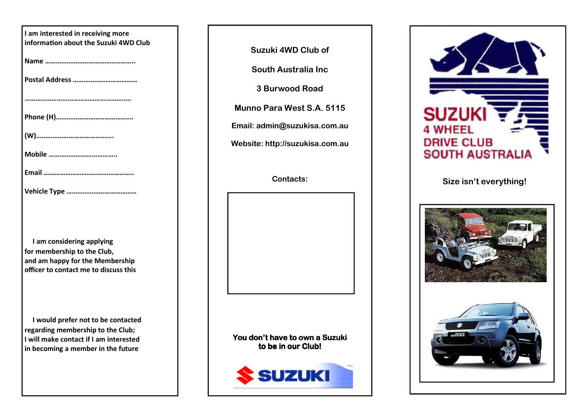| I am interested in receiving more<br>information about the Suzuki 4WD Club |
|----------------------------------------------------------------------------|
|                                                                            |
|                                                                            |
|                                                                            |
|                                                                            |
|                                                                            |
|                                                                            |
|                                                                            |
|                                                                            |

**I am considering applying for membership to the Club, and am happy for the Membership officer to contact me to discuss this** 

**I would prefer not to be contacted regarding membership to the Club; I will make contact if I am interested in becoming a member in the future**

**Suzuki 4WD Club of** 

**South Australia Inc** 

**3 Burwood Road** 

**Munno Para West S.A. 5115** 

**Email: admin@suzukisa.com.au** 

**Website: http://suzukisa.com.au** 

**Contacts:** 

You don't have to own a Suzuki to be in our Club!





## **Size isn't everything!**